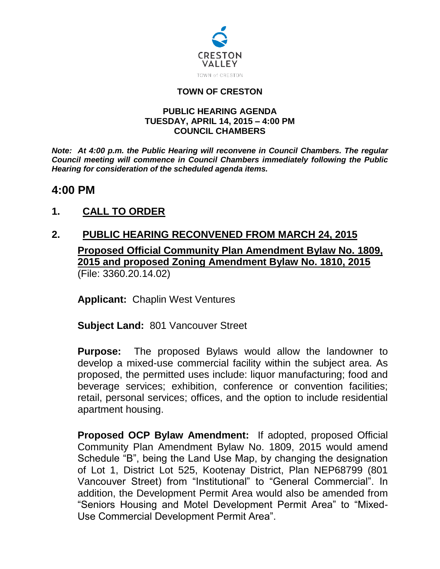

#### **TOWN OF CRESTON**

#### **PUBLIC HEARING AGENDA TUESDAY, APRIL 14, 2015 – 4:00 PM COUNCIL CHAMBERS**

*Note: At 4:00 p.m. the Public Hearing will reconvene in Council Chambers. The regular Council meeting will commence in Council Chambers immediately following the Public Hearing for consideration of the scheduled agenda items.*

### **4:00 PM**

## **1. CALL TO ORDER**

# **2. PUBLIC HEARING RECONVENED FROM MARCH 24, 2015 Proposed Official Community Plan Amendment Bylaw No. 1809, 2015 and proposed Zoning Amendment Bylaw No. 1810, 2015** (File: 3360.20.14.02)

**Applicant:** Chaplin West Ventures

**Subject Land:** 801 Vancouver Street

**Purpose:** The proposed Bylaws would allow the landowner to develop a mixed-use commercial facility within the subject area. As proposed, the permitted uses include: liquor manufacturing; food and beverage services; exhibition, conference or convention facilities; retail, personal services; offices, and the option to include residential apartment housing.

**Proposed OCP Bylaw Amendment:** If adopted, proposed Official Community Plan Amendment Bylaw No. 1809, 2015 would amend Schedule "B", being the Land Use Map, by changing the designation of Lot 1, District Lot 525, Kootenay District, Plan NEP68799 (801 Vancouver Street) from "Institutional" to "General Commercial". In addition, the Development Permit Area would also be amended from "Seniors Housing and Motel Development Permit Area" to "Mixed-Use Commercial Development Permit Area".